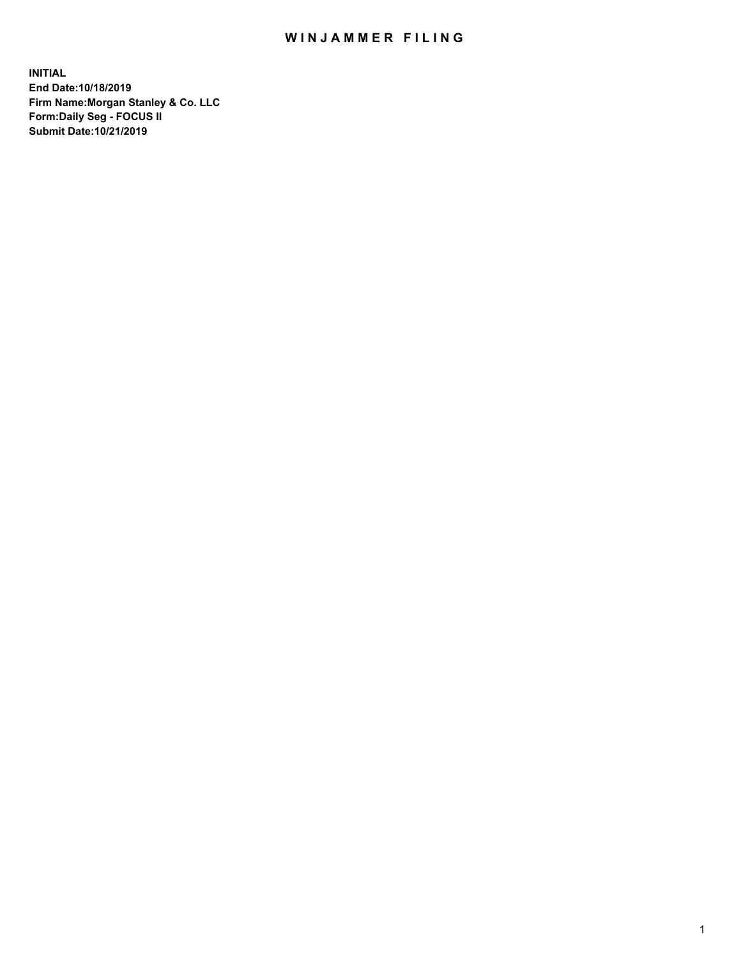## WIN JAMMER FILING

**INITIAL End Date:10/18/2019 Firm Name:Morgan Stanley & Co. LLC Form:Daily Seg - FOCUS II Submit Date:10/21/2019**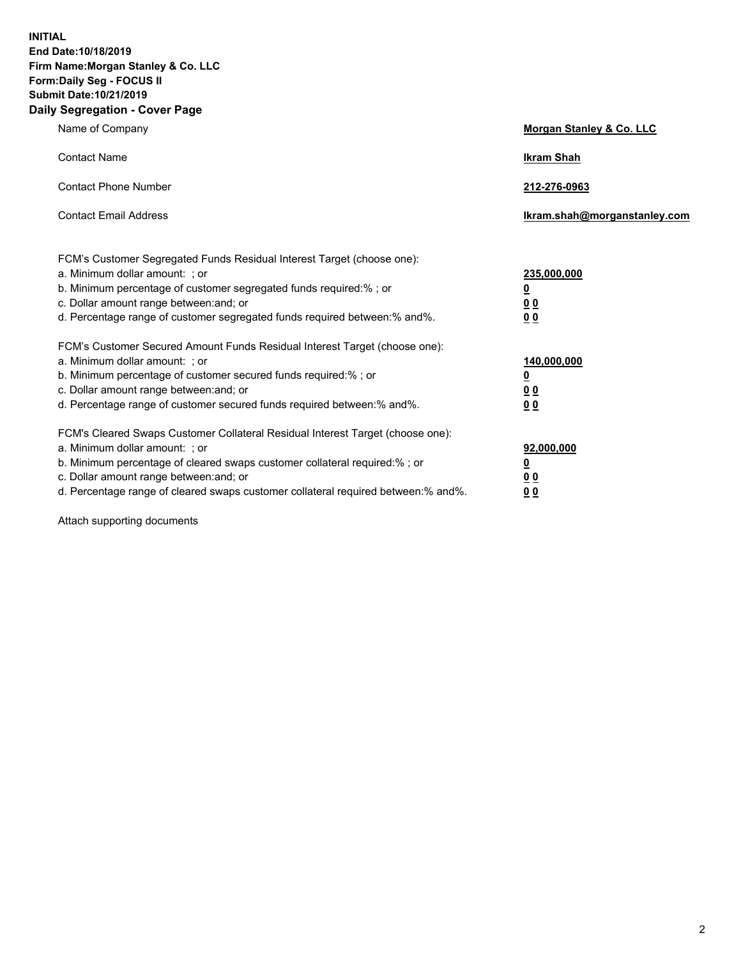**INITIAL End Date:10/18/2019 Firm Name:Morgan Stanley & Co. LLC Form:Daily Seg - FOCUS II Submit Date:10/21/2019 Daily Segregation - Cover Page**

| Name of Company                                                                                                                                                                                                                                                                                                                | Morgan Stanley & Co. LLC                               |
|--------------------------------------------------------------------------------------------------------------------------------------------------------------------------------------------------------------------------------------------------------------------------------------------------------------------------------|--------------------------------------------------------|
| <b>Contact Name</b>                                                                                                                                                                                                                                                                                                            | <b>Ikram Shah</b>                                      |
| <b>Contact Phone Number</b>                                                                                                                                                                                                                                                                                                    | 212-276-0963                                           |
| <b>Contact Email Address</b>                                                                                                                                                                                                                                                                                                   | lkram.shah@morganstanley.com                           |
| FCM's Customer Segregated Funds Residual Interest Target (choose one):<br>a. Minimum dollar amount: ; or<br>b. Minimum percentage of customer segregated funds required:% ; or<br>c. Dollar amount range between: and; or<br>d. Percentage range of customer segregated funds required between:% and%.                         | 235,000,000<br><u>0</u><br><u>00</u><br>0 <sub>0</sub> |
| FCM's Customer Secured Amount Funds Residual Interest Target (choose one):<br>a. Minimum dollar amount: ; or<br>b. Minimum percentage of customer secured funds required:% ; or<br>c. Dollar amount range between: and; or<br>d. Percentage range of customer secured funds required between:% and%.                           | 140,000,000<br><u>0</u><br><u>00</u><br>00             |
| FCM's Cleared Swaps Customer Collateral Residual Interest Target (choose one):<br>a. Minimum dollar amount: ; or<br>b. Minimum percentage of cleared swaps customer collateral required:% ; or<br>c. Dollar amount range between: and; or<br>d. Percentage range of cleared swaps customer collateral required between:% and%. | 92,000,000<br><u>0</u><br><u>00</u><br>00              |

Attach supporting documents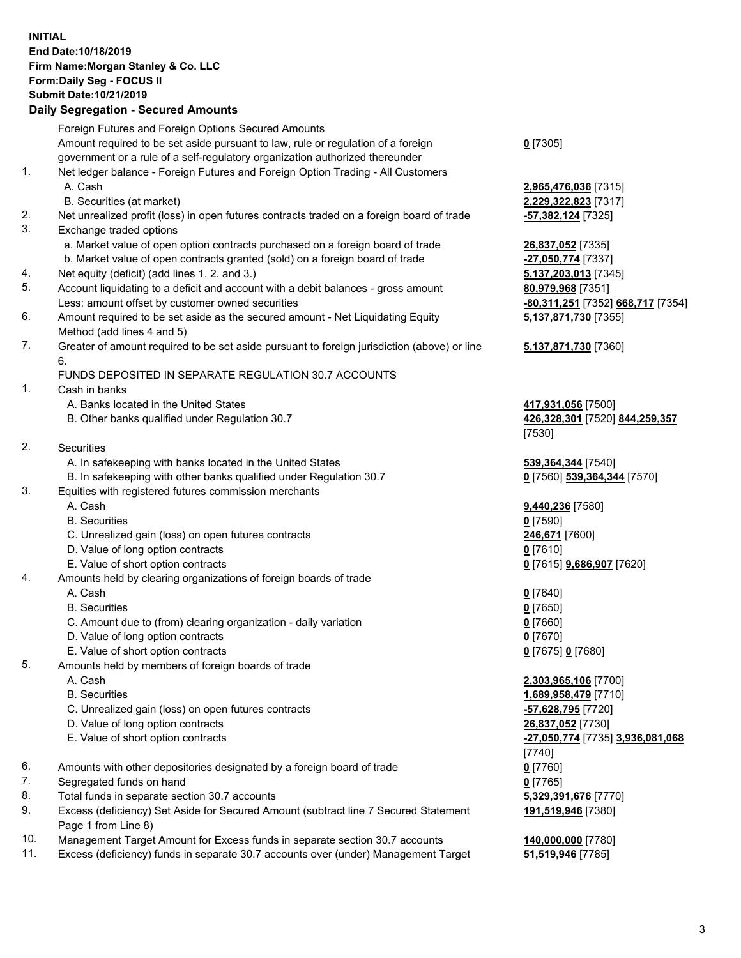## **INITIAL End Date:10/18/2019 Firm Name:Morgan Stanley & Co. LLC Form:Daily Seg - FOCUS II Submit Date:10/21/2019**

## **Daily Segregation - Secured Amounts**

|                | Foreign Futures and Foreign Options Secured Amounts                                         |                                   |
|----------------|---------------------------------------------------------------------------------------------|-----------------------------------|
|                | Amount required to be set aside pursuant to law, rule or regulation of a foreign            | $0$ [7305]                        |
|                | government or a rule of a self-regulatory organization authorized thereunder                |                                   |
| 1.             | Net ledger balance - Foreign Futures and Foreign Option Trading - All Customers             |                                   |
|                | A. Cash                                                                                     | 2,965,476,036 [7315]              |
|                | B. Securities (at market)                                                                   | 2,229,322,823 [7317]              |
| 2.             | Net unrealized profit (loss) in open futures contracts traded on a foreign board of trade   | -57,382,124 [7325]                |
| 3.             | Exchange traded options                                                                     |                                   |
|                | a. Market value of open option contracts purchased on a foreign board of trade              | 26,837,052 [7335]                 |
|                | b. Market value of open contracts granted (sold) on a foreign board of trade                | -27,050,774 [7337]                |
| 4.             | Net equity (deficit) (add lines 1.2. and 3.)                                                | 5,137,203,013 [7345]              |
| 5.             | Account liquidating to a deficit and account with a debit balances - gross amount           | 80,979,968 [7351]                 |
|                | Less: amount offset by customer owned securities                                            | -80,311,251 [7352] 668,717 [7354] |
| 6.             | Amount required to be set aside as the secured amount - Net Liquidating Equity              | 5,137,871,730 [7355]              |
|                | Method (add lines 4 and 5)                                                                  |                                   |
| 7.             | Greater of amount required to be set aside pursuant to foreign jurisdiction (above) or line | 5,137,871,730 [7360]              |
|                | 6.                                                                                          |                                   |
|                | FUNDS DEPOSITED IN SEPARATE REGULATION 30.7 ACCOUNTS                                        |                                   |
| 1.             | Cash in banks                                                                               |                                   |
|                | A. Banks located in the United States                                                       | 417,931,056 [7500]                |
|                | B. Other banks qualified under Regulation 30.7                                              | 426,328,301 [7520] 844,259,357    |
|                |                                                                                             | [7530]                            |
| 2.             | Securities                                                                                  |                                   |
|                | A. In safekeeping with banks located in the United States                                   | 539, 364, 344 [7540]              |
|                | B. In safekeeping with other banks qualified under Regulation 30.7                          | 0 [7560] 539,364,344 [7570]       |
| 3.             | Equities with registered futures commission merchants                                       |                                   |
|                | A. Cash                                                                                     | 9,440,236 [7580]                  |
|                | <b>B.</b> Securities                                                                        | $0$ [7590]                        |
|                | C. Unrealized gain (loss) on open futures contracts                                         | 246,671 [7600]                    |
|                | D. Value of long option contracts                                                           | $0$ [7610]                        |
|                | E. Value of short option contracts                                                          | 0 [7615] <b>9,686,907</b> [7620]  |
| 4.             | Amounts held by clearing organizations of foreign boards of trade                           |                                   |
|                | A. Cash                                                                                     | $0$ [7640]                        |
|                | <b>B.</b> Securities                                                                        | $0$ [7650]                        |
|                | C. Amount due to (from) clearing organization - daily variation                             | $0$ [7660]                        |
|                | D. Value of long option contracts                                                           | $0$ [7670]                        |
|                | E. Value of short option contracts                                                          | 0 [7675] 0 [7680]                 |
| 5.             | Amounts held by members of foreign boards of trade                                          |                                   |
|                | A. Cash                                                                                     | 2,303,965,106 [7700]              |
|                | <b>B.</b> Securities                                                                        | 1,689,958,479 [7710]              |
|                | C. Unrealized gain (loss) on open futures contracts                                         | -57,628,795 [7720]                |
|                | D. Value of long option contracts                                                           | 26,837,052 [7730]                 |
|                | E. Value of short option contracts                                                          | -27,050,774 [7735] 3,936,081,068  |
|                |                                                                                             |                                   |
| 6.             | Amounts with other depositories designated by a foreign board of trade                      | [7740]<br>$0$ [7760]              |
| 7.             |                                                                                             |                                   |
| 8.             | Segregated funds on hand                                                                    | $0$ [7765]                        |
| 9.             | Total funds in separate section 30.7 accounts                                               | 5,329,391,676 [7770]              |
|                | Excess (deficiency) Set Aside for Secured Amount (subtract line 7 Secured Statement         | 191,519,946 [7380]                |
| $\overline{A}$ | Page 1 from Line 8)                                                                         |                                   |

- 10. Management Target Amount for Excess funds in separate section 30.7 accounts **140,000,000** [7780]
- 11. Excess (deficiency) funds in separate 30.7 accounts over (under) Management Target **51,519,946** [7785]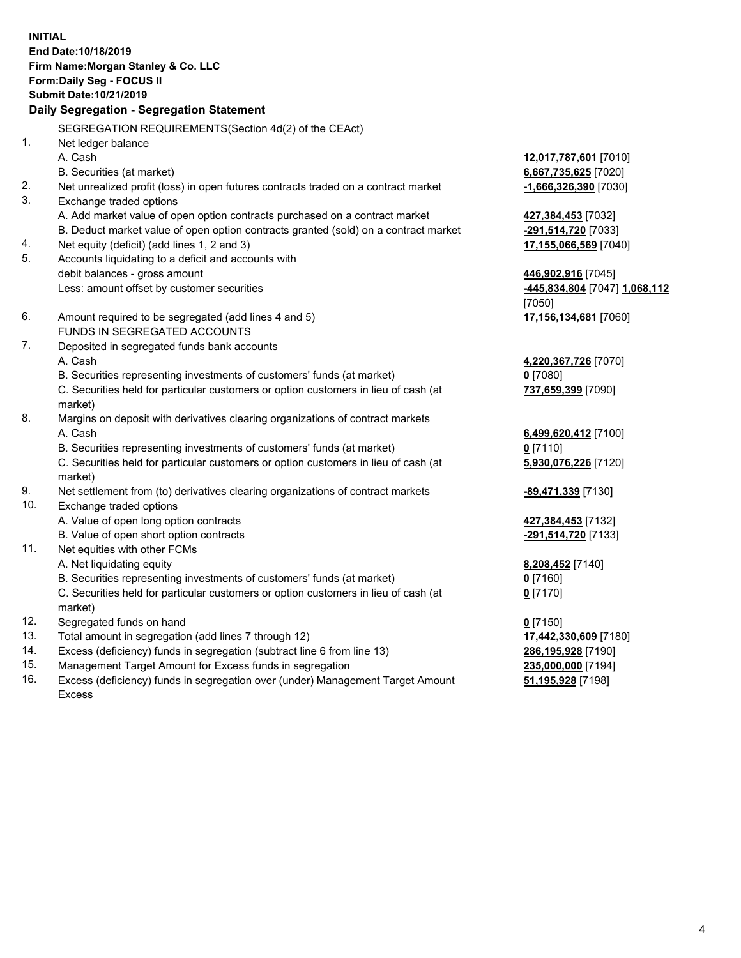**INITIAL End Date:10/18/2019 Firm Name:Morgan Stanley & Co. LLC Form:Daily Seg - FOCUS II Submit Date:10/21/2019 Daily Segregation - Segregation Statement** SEGREGATION REQUIREMENTS(Section 4d(2) of the CEAct) 1. Net ledger balance A. Cash **12,017,787,601** [7010] B. Securities (at market) **6,667,735,625** [7020] 2. Net unrealized profit (loss) in open futures contracts traded on a contract market **-1,666,326,390** [7030] 3. Exchange traded options A. Add market value of open option contracts purchased on a contract market **427,384,453** [7032] B. Deduct market value of open option contracts granted (sold) on a contract market **-291,514,720** [7033] 4. Net equity (deficit) (add lines 1, 2 and 3) **17,155,066,569** [7040] 5. Accounts liquidating to a deficit and accounts with debit balances - gross amount **446,902,916** [7045] Less: amount offset by customer securities **-445,834,804** [7047] **1,068,112** [7050] 6. Amount required to be segregated (add lines 4 and 5) **17,156,134,681** [7060] FUNDS IN SEGREGATED ACCOUNTS 7. Deposited in segregated funds bank accounts A. Cash **4,220,367,726** [7070] B. Securities representing investments of customers' funds (at market) **0** [7080] C. Securities held for particular customers or option customers in lieu of cash (at market) **737,659,399** [7090] 8. Margins on deposit with derivatives clearing organizations of contract markets A. Cash **6,499,620,412** [7100] B. Securities representing investments of customers' funds (at market) **0** [7110] C. Securities held for particular customers or option customers in lieu of cash (at market) **5,930,076,226** [7120] 9. Net settlement from (to) derivatives clearing organizations of contract markets **-89,471,339** [7130] 10. Exchange traded options A. Value of open long option contracts **427,384,453** [7132] B. Value of open short option contracts **-291,514,720** [7133] 11. Net equities with other FCMs A. Net liquidating equity **8,208,452** [7140] B. Securities representing investments of customers' funds (at market) **0** [7160] C. Securities held for particular customers or option customers in lieu of cash (at market) **0** [7170] 12. Segregated funds on hand **0** [7150] 13. Total amount in segregation (add lines 7 through 12) **17,442,330,609** [7180] 14. Excess (deficiency) funds in segregation (subtract line 6 from line 13) **286,195,928** [7190]

- 15. Management Target Amount for Excess funds in segregation **235,000,000** [7194]
- 16. Excess (deficiency) funds in segregation over (under) Management Target Amount Excess

**51,195,928** [7198]